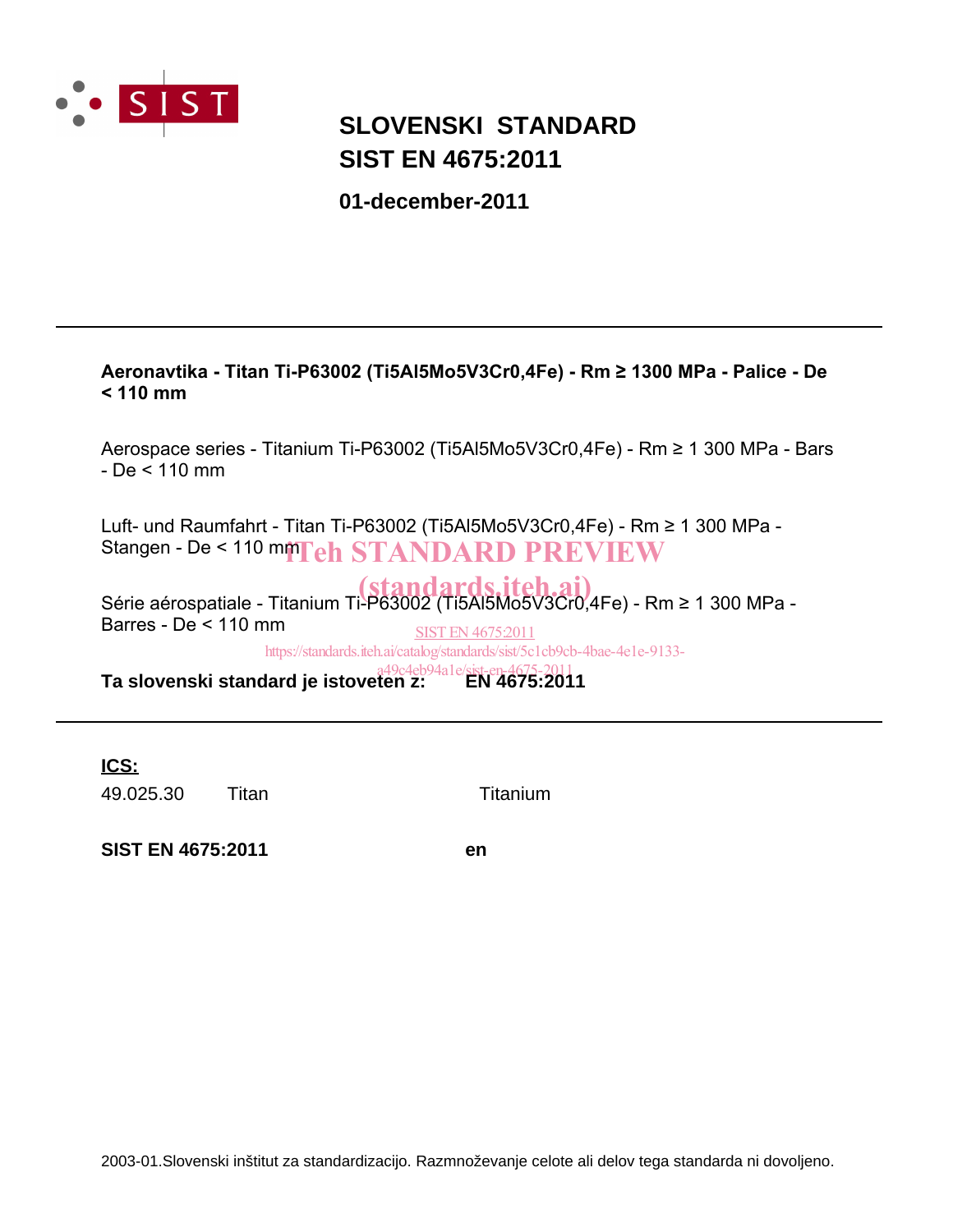

## **SIST EN 4675:2011 SLOVENSKI STANDARD**

**01-december-2011**

#### Aeronavtika - Titan Ti-P63002 (Ti5Al5Mo5V3Cr0,4Fe) - Rm ≥ 1300 MPa - Palice - De  $<$  110 mm

Aerospace series - Titanium Ti-P63002 (Ti5Al5Mo5V3Cr0,4Fe) - Rm ≥ 1 300 MPa - Bars  $-De < 110$  mm

Luft- und Raumfahrt - Titan Ti-P63002 (Ti5Al5Mo5V3Cr0,4Fe) - Rm ≥ 1 300 MPa -Stangen - De < 110 mmTeh STANDARD PREVIEW

Série aérospatiale - Titanium Ti-P63002 (Ti5Al5Mo5V3Cr0,4Fe) - Rm ≥ 1 300 MPa -Barres - De  $\leq$  110 mm SIST EN 4675:2011

https://standards.iteh.ai/catalog/standards/sist/5c1cb9cb-4bae-4e1e-9133-

**Ta slovenski standard je istoveten z: EN 4675:2011** a49c4eb94a1e/sist-en-4675-2011

49.025.30 Titan Titanium **ICS:**

**SIST EN 4675:2011 en**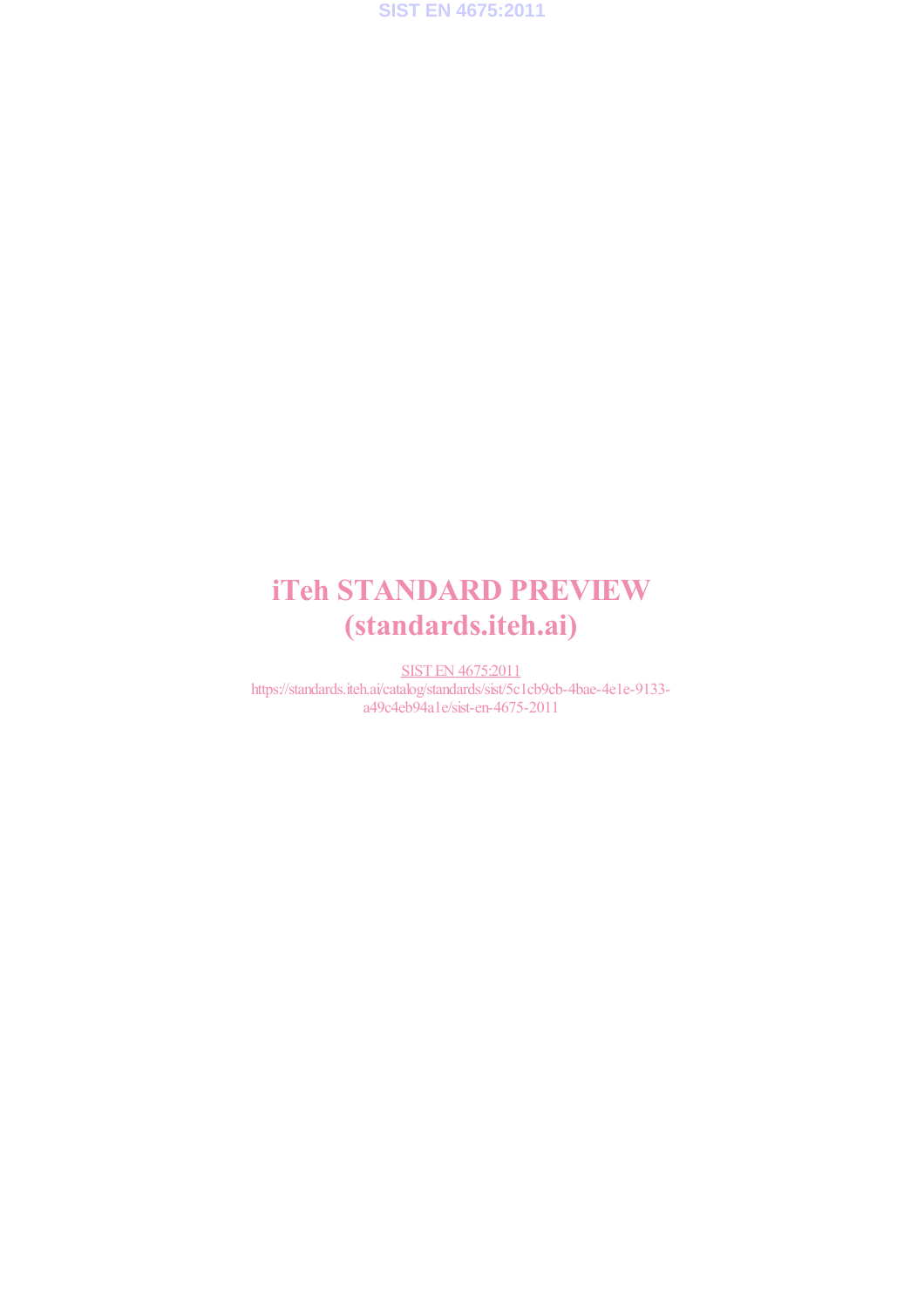

## iTeh STANDARD PREVIEW (standards.iteh.ai)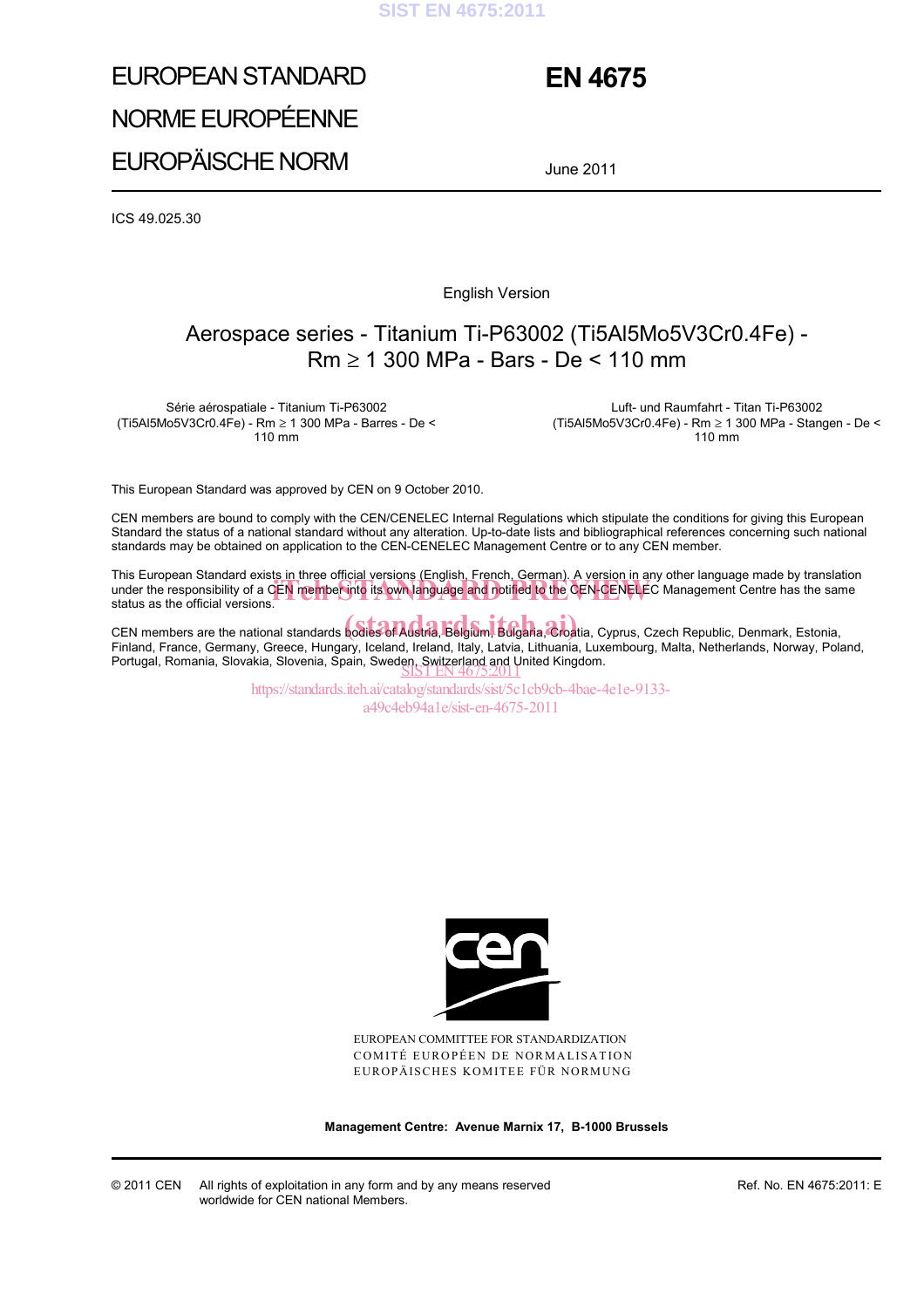#### **SIST EN 4675:2011**

# EUROPEAN STANDARD NORME EUROPÉENNE EUROPÄISCHE NORM

## **EN 4675**

June 2011

ICS 49.025.30

English Version

### Aerospace series - Titanium Ti-P63002 (Ti5Al5Mo5V3Cr0.4Fe) - Rm ≥ 1 300 MPa - Bars - De < 110 mm

Série aérospatiale - Titanium Ti-P63002 (Ti5Al5Mo5V3Cr0.4Fe) - Rm ≥ 1 300 MPa - Barres - De < 110 mm

 Luft- und Raumfahrt - Titan Ti-P63002 (Ti5Al5Mo5V3Cr0.4Fe) - Rm ≥ 1 300 MPa - Stangen - De < 110 mm

This European Standard was approved by CEN on 9 October 2010.

CEN members are bound to comply with the CEN/CENELEC Internal Regulations which stipulate the conditions for giving this European Standard the status of a national standard without any alteration. Up-to-date lists and bibliographical references concerning such national standards may be obtained on application to the CEN-CENELEC Management Centre or to any CEN member.

This European Standard exists in three official versions (English, French, German). A version in any other language made by translation under the responsibility of a CEN member into its own language and notified to the CEN-CENELEC Management Centre has the same This European Standard exists in three official versions (English, French, German). A version in any c<br>under the responsibility of a CEN member into its own language and notified to the CEN-CENELEC M<br>status as the official

CEN members are the national standards bodies of Austria, Belgium, Bulgaria, Croatia, Cyprus, Czech Republic, Denmark, Estonia, Finland, France, Germany, Greece, Hungary, Iceland, Ireland, Italy, Latvia, Lithuania, Luxembourg, Malta, Netherlands, Norway, Poland, Portugal, Romania, Slovakia, Slovenia, Spain, Sweden, Switzerland and United Kingdom.<br>SIST EN 4675:2011

> https://standards.iteh.ai/catalog/standards/sist/5c1cb9cb-4bae-4e1e-9133 a49c4eb94a1e/sist-en-4675-2011



EUROPEAN COMMITTEE FOR STANDARDIZATION COMITÉ EUROPÉEN DE NORMALISATION EUROPÄISCHES KOMITEE FÜR NORMUNG

**Management Centre: Avenue Marnix 17, B-1000 Brussels** 

Ref. No. EN 4675:2011: E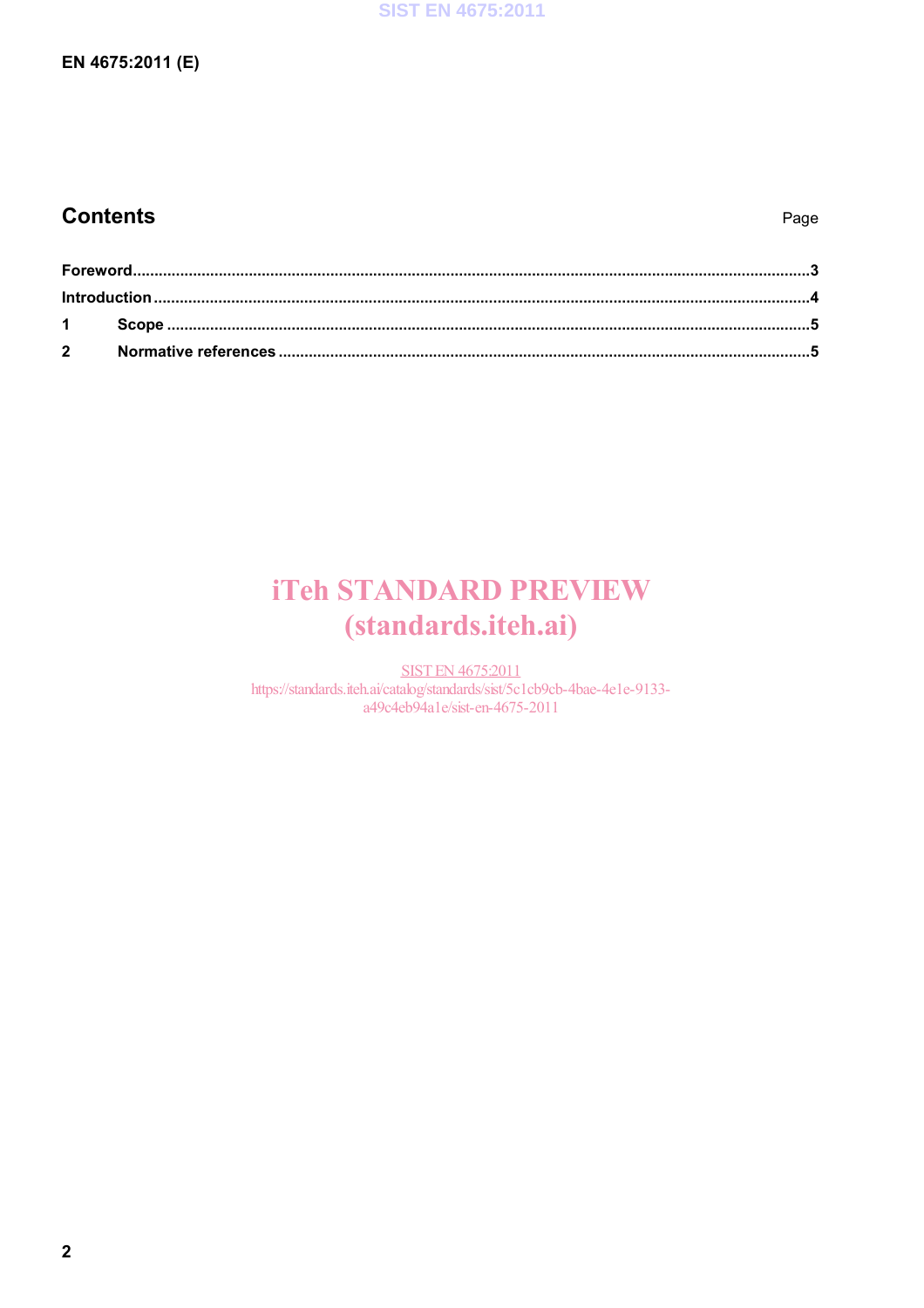### **Contents**

## **iTeh STANDARD PREVIEW** (standards.iteh.ai)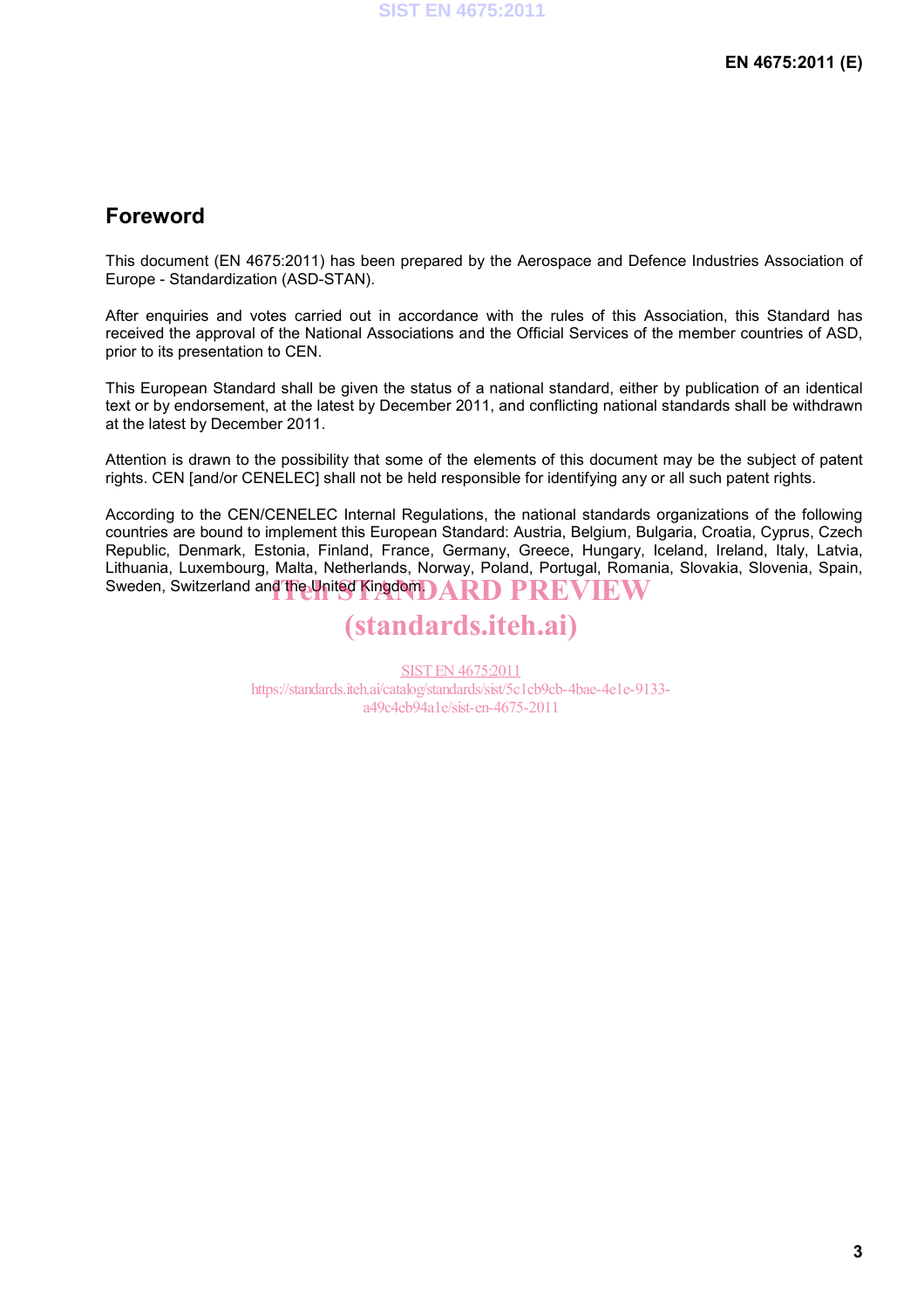### **Foreword**

This document (EN 4675:2011) has been prepared by the Aerospace and Defence Industries Association of Europe - Standardization (ASD-STAN).

After enquiries and votes carried out in accordance with the rules of this Association, this Standard has received the approval of the National Associations and the Official Services of the member countries of ASD, prior to its presentation to CEN.

This European Standard shall be given the status of a national standard, either by publication of an identical text or by endorsement, at the latest by December 2011, and conflicting national standards shall be withdrawn at the latest by December 2011.

Attention is drawn to the possibility that some of the elements of this document may be the subject of patent rights. CEN [and/or CENELEC] shall not be held responsible for identifying any or all such patent rights.

According to the CEN/CENELEC Internal Regulations, the national standards organizations of the following countries are bound to implement this European Standard: Austria, Belgium, Bulgaria, Croatia, Cyprus, Czech Republic, Denmark, Estonia, Finland, France, Germany, Greece, Hungary, Iceland, Ireland, Italy, Latvia, Lithuania, Luxembourg, Malta, Netherlands, Norway, Poland, Portugal, Romania, Slovakia, Slovenia, Spain, Sweden, Switzerland and the United Kingdom.  $\overline{\text{ARD PREVIEW}}$ 

## (standards.iteh.ai)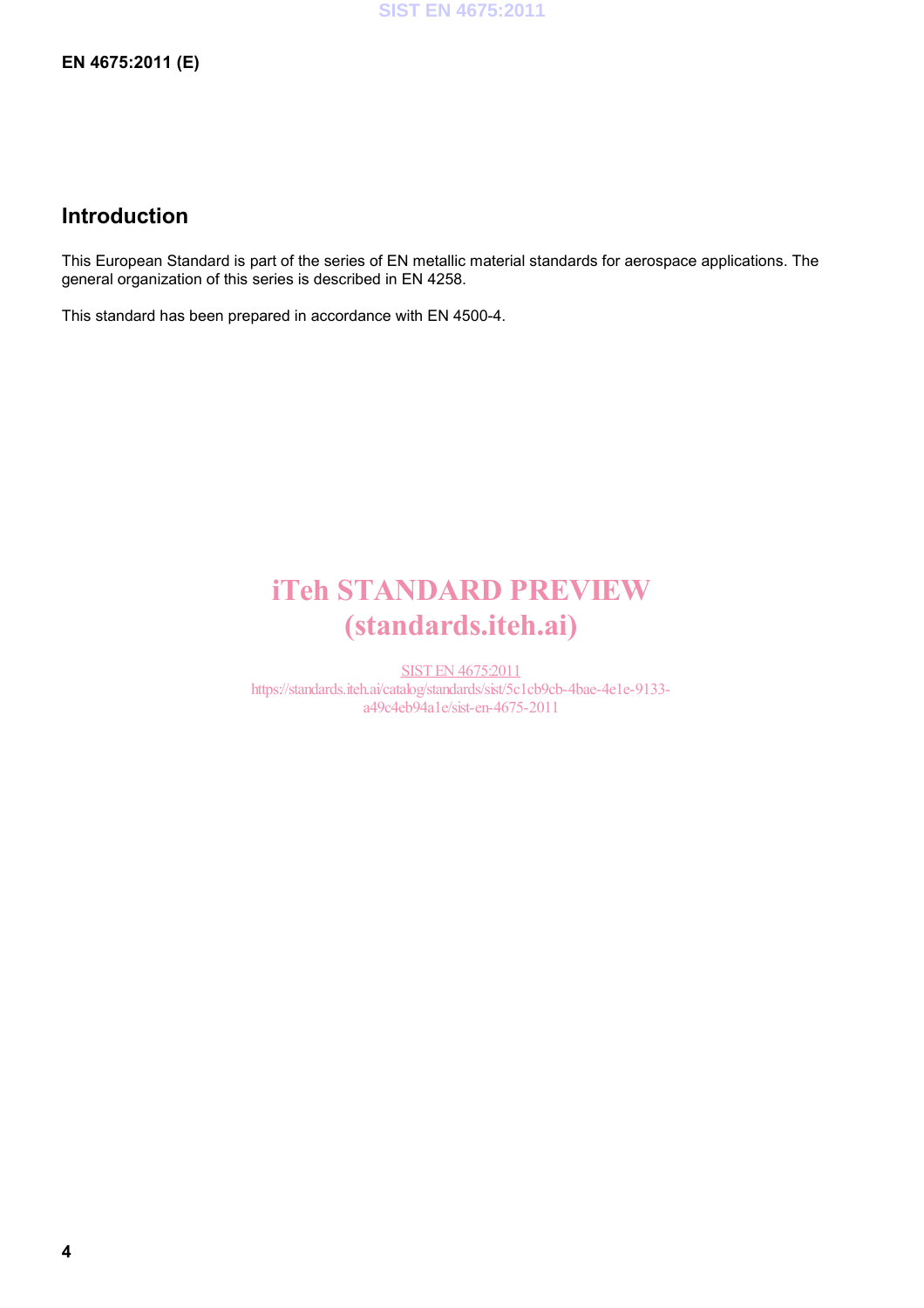### **Introduction**

This European Standard is part of the series of EN metallic material standards for aerospace applications. The general organization of this series is described in EN 4258.

This standard has been prepared in accordance with EN 4500-4.

## iTeh STANDARD PREVIEW (standards.iteh.ai)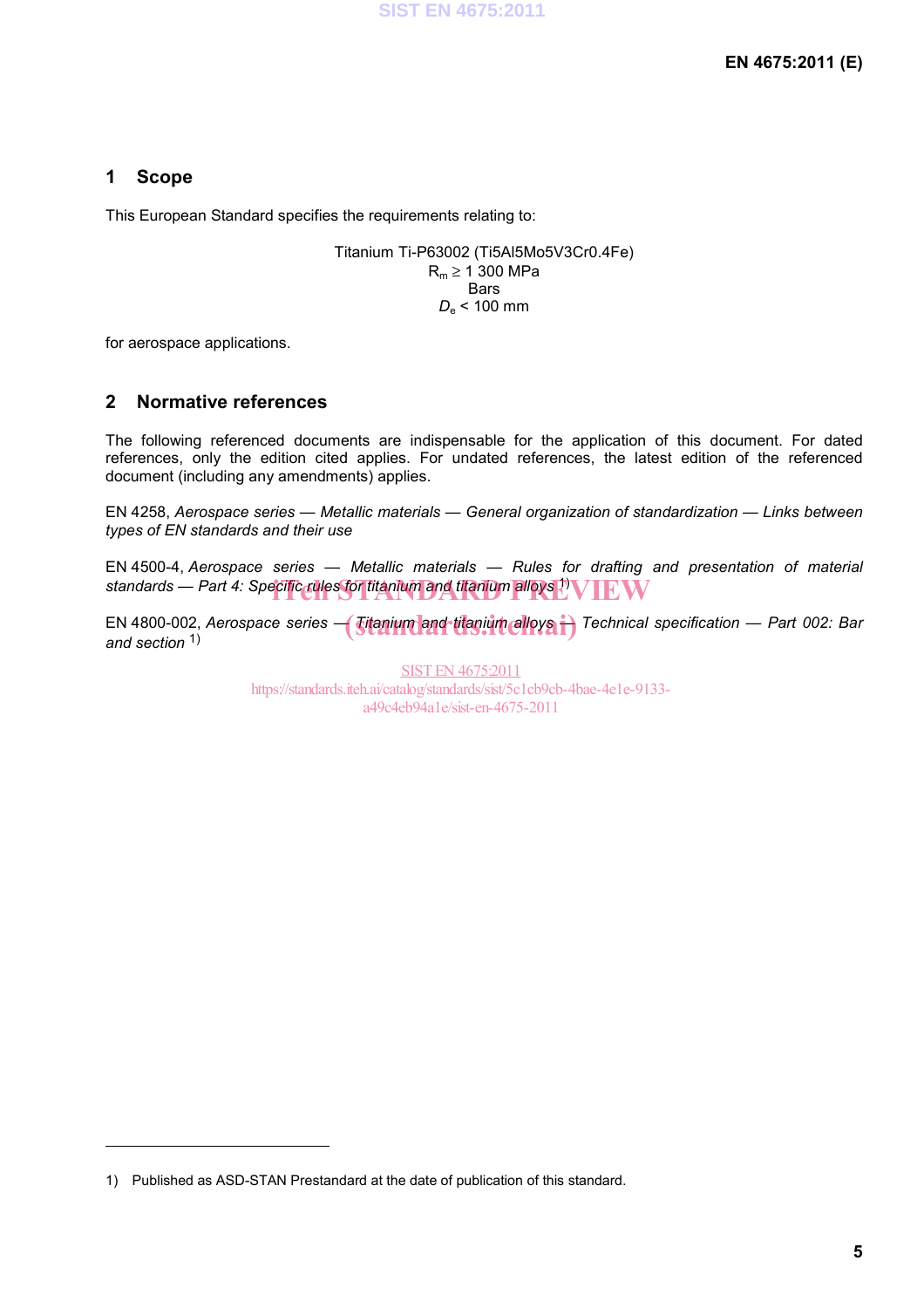#### **1 Scope**

l

This European Standard specifies the requirements relating to:

Titanium Ti-P63002 (Ti5Al5Mo5V3Cr0.4Fe)  $R_m \ge 1300$  MPa Bars *D*e < 100 mm

for aerospace applications.

#### **2 Normative references**

The following referenced documents are indispensable for the application of this document. For dated references, only the edition cited applies. For undated references, the latest edition of the referenced document (including any amendments) applies.

EN 4258, *Aerospace series — Metallic materials — General organization of standardization — Links between types of EN standards and their use*

EN 4500-4, *Aerospace series — Metallic materials — Rules for drafting and presentation of material*  standards — Part 4: Specific rules for titanium and titanium alloys  $1/\sqrt{EW}$ 

EN 4800-002, *Aerospace series* — **Titanium and titanium alloys +** Technical specification — Part 002: Bar<br>and section.<sup>1)</sup> *and section* 1)

<sup>1)</sup> Published as ASD-STAN Prestandard at the date of publication of this standard.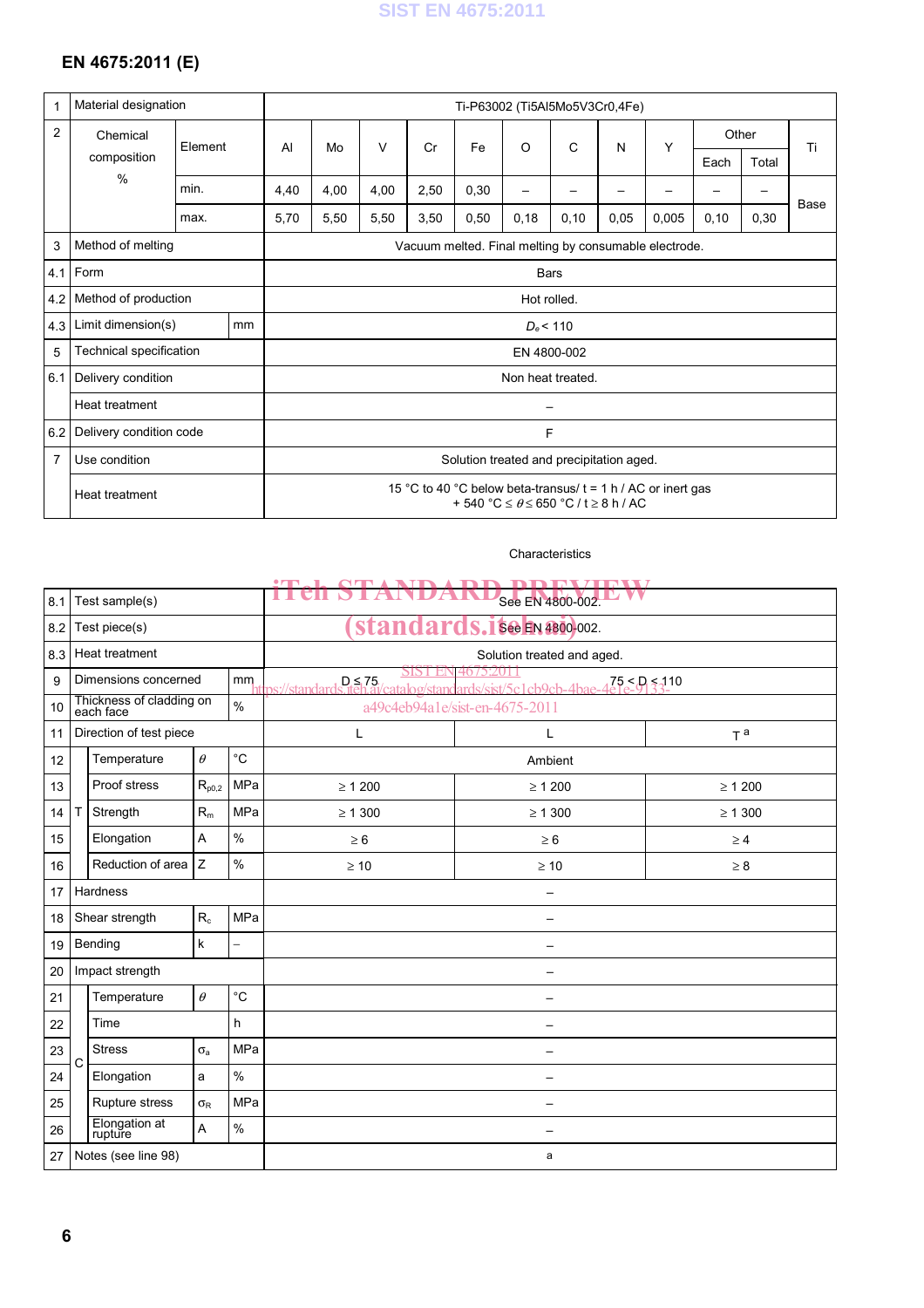| 1                  | Material designation    |             |  | Ti-P63002 (Ti5Al5Mo5V3Cr0,4Fe) |                                                                                                               |      |      |      |         |                                                       |      |       |       |       |       |  |  |
|--------------------|-------------------------|-------------|--|--------------------------------|---------------------------------------------------------------------------------------------------------------|------|------|------|---------|-------------------------------------------------------|------|-------|-------|-------|-------|--|--|
| 2                  | Chemical                | Flement     |  |                                |                                                                                                               |      |      |      |         |                                                       |      |       |       |       | Other |  |  |
|                    | composition             |             |  | Al                             | Mo                                                                                                            | V    | Cr   | Fe   | $\circ$ | $\mathsf{C}$                                          | N    | Υ     | Each  | Total | Ti    |  |  |
|                    | $\%$                    | min.        |  | 4,40                           | 4,00                                                                                                          | 4,00 | 2,50 | 0,30 |         |                                                       |      |       |       |       |       |  |  |
|                    |                         | max.        |  | 5,70                           | 5,50                                                                                                          | 5,50 | 3,50 | 0,50 | 0, 18   | 0, 10                                                 | 0,05 | 0,005 | 0, 10 | 0,30  | Base  |  |  |
| 3                  | Method of melting       |             |  |                                |                                                                                                               |      |      |      |         | Vacuum melted. Final melting by consumable electrode. |      |       |       |       |       |  |  |
|                    | 4.1 Form                |             |  | <b>Bars</b>                    |                                                                                                               |      |      |      |         |                                                       |      |       |       |       |       |  |  |
| 4.2                | Method of production    |             |  | Hot rolled.                    |                                                                                                               |      |      |      |         |                                                       |      |       |       |       |       |  |  |
| 4.3                | Limit dimension(s)      | $D_e$ < 110 |  |                                |                                                                                                               |      |      |      |         |                                                       |      |       |       |       |       |  |  |
| 5                  | Technical specification | EN 4800-002 |  |                                |                                                                                                               |      |      |      |         |                                                       |      |       |       |       |       |  |  |
| 6.1                | Delivery condition      |             |  | Non heat treated.              |                                                                                                               |      |      |      |         |                                                       |      |       |       |       |       |  |  |
|                    | Heat treatment          |             |  |                                |                                                                                                               |      | —    |      |         |                                                       |      |       |       |       |       |  |  |
| 6.2                | Delivery condition code | F           |  |                                |                                                                                                               |      |      |      |         |                                                       |      |       |       |       |       |  |  |
| 7<br>Use condition |                         |             |  |                                | Solution treated and precipitation aged.                                                                      |      |      |      |         |                                                       |      |       |       |       |       |  |  |
|                    | Heat treatment          |             |  |                                | 15 °C to 40 °C below beta-transus/ $t = 1 h / AC$ or inert gas<br>+ 540 °C ≤ $\theta$ ≤ 650 °C / t ≥ 8 h / AC |      |      |      |         |                                                       |      |       |       |       |       |  |  |

#### Characteristics

|     |                                                        |                                        |                           |                          | NIN                                                                                                  | <b>INVALINAV</b><br>DD |                |  |  |  |
|-----|--------------------------------------------------------|----------------------------------------|---------------------------|--------------------------|------------------------------------------------------------------------------------------------------|------------------------|----------------|--|--|--|
| 8.1 |                                                        | Test sample(s)                         |                           |                          |                                                                                                      | See EN 4800-002.       |                |  |  |  |
| 8.2 | Test piece(s)                                          |                                        |                           |                          | <b>Standards.ite In 4800,002.</b>                                                                    |                        |                |  |  |  |
| 8.3 | <b>Heat treatment</b>                                  |                                        |                           |                          | Solution treated and aged.                                                                           |                        |                |  |  |  |
| 9   | Dimensions concerned<br>mm                             |                                        |                           |                          | 212 I<br>D≤75.<br>//standards.jteh.ai/<br>$75 < D \le 110$<br>/catalog/standards/sist/5c1cb9cb-4bae- |                        |                |  |  |  |
| 10  | Thickness of cladding on<br>each face<br>$\frac{0}{0}$ |                                        |                           |                          | a49c4eb94a1e/sist-en-4675-2011                                                                       |                        |                |  |  |  |
| 11  | Direction of test piece                                |                                        |                           |                          | L                                                                                                    | L                      | T <sup>a</sup> |  |  |  |
| 12  |                                                        | Temperature                            | $\theta$                  | $^{\circ}C$              | Ambient                                                                                              |                        |                |  |  |  |
| 13  |                                                        | Proof stress                           | $R_{p0,2}$                | MPa                      | $\geq 1200$                                                                                          | $\geq 1200$            | $\geq 1200$    |  |  |  |
| 14  | Т                                                      | Strength                               | $R_m$                     | MPa                      | $\geq 1300$                                                                                          | $\geq 1300$            | $\geq 1300$    |  |  |  |
| 15  |                                                        | Elongation                             | A                         | $\%$                     | $\geq 6$                                                                                             | $\geq 6$               | $\geq 4$       |  |  |  |
| 16  |                                                        | Reduction of area                      | Z                         | $\%$                     | $\geq 10$                                                                                            | $\geq 10$              | $\geq 8$       |  |  |  |
| 17  | <b>Hardness</b>                                        |                                        |                           |                          |                                                                                                      |                        |                |  |  |  |
| 18  | Shear strength                                         |                                        | $\mathsf{R}_{\mathrm{c}}$ | MPa                      |                                                                                                      |                        |                |  |  |  |
| 19  | Bending                                                |                                        | $\sf k$                   | $\overline{\phantom{0}}$ |                                                                                                      |                        |                |  |  |  |
| 20  | Impact strength                                        |                                        |                           |                          |                                                                                                      |                        |                |  |  |  |
| 21  |                                                        | $^{\circ}C$<br>$\theta$<br>Temperature |                           |                          |                                                                                                      |                        |                |  |  |  |
| 22  |                                                        | Time<br>h                              |                           |                          | -                                                                                                    |                        |                |  |  |  |
| 23  | $\mathsf{C}$                                           | <b>Stress</b>                          | $\sigma_{\rm a}$          | <b>MPa</b>               |                                                                                                      |                        |                |  |  |  |
| 24  |                                                        | $\%$<br>Elongation<br>a                |                           |                          |                                                                                                      |                        |                |  |  |  |
| 25  |                                                        | Rupture stress                         | $\sigma_{\mathsf{R}}$     | MPa                      |                                                                                                      | -                      |                |  |  |  |
| 26  | Elongation at<br>rupture<br>$\%$<br>A                  |                                        |                           |                          |                                                                                                      |                        |                |  |  |  |
| 27  | Notes (see line 98)                                    |                                        |                           |                          |                                                                                                      | a                      |                |  |  |  |